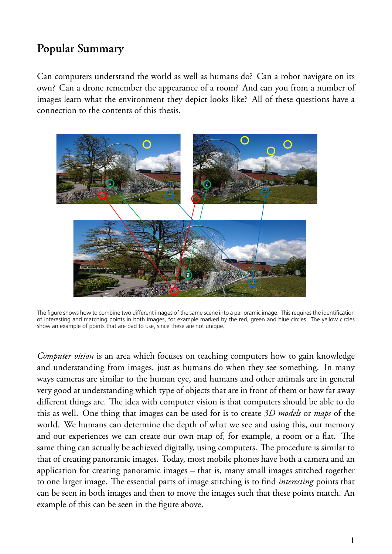## **Popular Summary**

Can computers understand the world as well as humans do? Can a robot navigate on its own? Can a drone remember the appearance of a room? And can you from a number of images learn what the environment they depict looks like? All of these questions have a connection to the contents of this thesis.



The figure shows how to combine two different images of the same scene into a panoramic image. This requires the identification of interesting and matching points in both images, for example marked by the red, green and blue circles. The yellow circles show an example of points that are bad to use, since these are not unique.

*Computer vision* is an area which focuses on teaching computers how to gain knowledge and understanding from images, just as humans do when they see something. In many ways cameras are similar to the human eye, and humans and other animals are in general very good at understanding which type of objects that are in front of them or how far away different things are. The idea with computer vision is that computers should be able to do this as well. One thing that images can be used for is to create *3D models* or *maps* of the world. We humans can determine the depth of what we see and using this, our memory and our experiences we can create our own map of, for example, a room or a flat. The same thing can actually be achieved digitally, using computers. The procedure is similar to that of creating panoramic images. Today, most mobile phones have both a camera and an application for creating panoramic images – that is, many small images stitched together to one larger image. The essential parts of image stitching is to find *interesting* points that can be seen in both images and then to move the images such that these points match. An example of this can be seen in the figure above.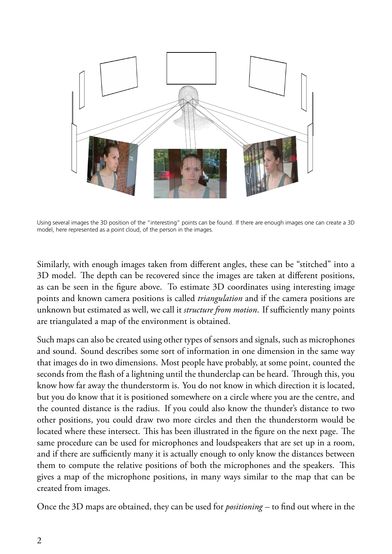

Using several images the 3D position of the "interesting" points can be found. If there are enough images one can create a 3D model, here represented as a point cloud, of the person in the images.

Similarly, with enough images taken from different angles, these can be "stitched" into a 3D model. The depth can be recovered since the images are taken at different positions, as can be seen in the figure above. To estimate 3D coordinates using interesting image points and known camera positions is called *triangulation* and if the camera positions are unknown but estimated as well, we call it *structure from motion*. If sufficiently many points are triangulated a map of the environment is obtained.

Such maps can also be created using other types of sensors and signals, such as microphones and sound. Sound describes some sort of information in one dimension in the same way that images do in two dimensions. Most people have probably, at some point, counted the seconds from the flash of a lightning until the thunderclap can be heard. Through this, you know how far away the thunderstorm is. You do not know in which direction it is located, but you do know that it is positioned somewhere on a circle where you are the centre, and the counted distance is the radius. If you could also know the thunder's distance to two other positions, you could draw two more circles and then the thunderstorm would be located where these intersect. This has been illustrated in the figure on the next page. The same procedure can be used for microphones and loudspeakers that are set up in a room, and if there are sufficiently many it is actually enough to only know the distances between them to compute the relative positions of both the microphones and the speakers. This gives a map of the microphone positions, in many ways similar to the map that can be created from images.

Once the 3D maps are obtained, they can be used for *positioning* – to find out where in the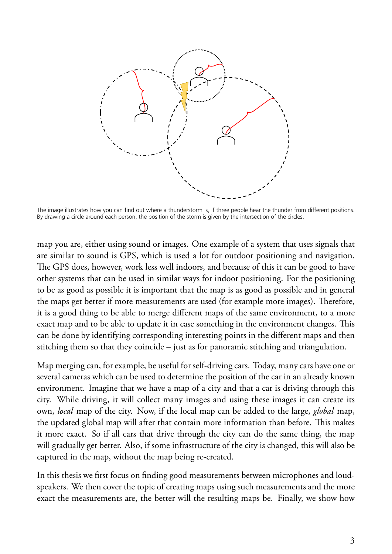

The image illustrates how you can find out where a thunderstorm is, if three people hear the thunder from different positions. By drawing a circle around each person, the position of the storm is given by the intersection of the circles.

map you are, either using sound or images. One example of a system that uses signals that are similar to sound is GPS, which is used a lot for outdoor positioning and navigation. The GPS does, however, work less well indoors, and because of this it can be good to have other systems that can be used in similar ways for indoor positioning. For the positioning to be as good as possible it is important that the map is as good as possible and in general the maps get better if more measurements are used (for example more images). Therefore, it is a good thing to be able to merge different maps of the same environment, to a more exact map and to be able to update it in case something in the environment changes. This can be done by identifying corresponding interesting points in the different maps and then stitching them so that they coincide – just as for panoramic stitching and triangulation.

Map merging can, for example, be useful for self-driving cars. Today, many cars have one or several cameras which can be used to determine the position of the car in an already known environment. Imagine that we have a map of a city and that a car is driving through this city. While driving, it will collect many images and using these images it can create its own, *local* map of the city. Now, if the local map can be added to the large, *global* map, the updated global map will after that contain more information than before. This makes it more exact. So if all cars that drive through the city can do the same thing, the map will gradually get better. Also, if some infrastructure of the city is changed, this will also be captured in the map, without the map being re-created.

In this thesis we first focus on finding good measurements between microphones and loudspeakers. We then cover the topic of creating maps using such measurements and the more exact the measurements are, the better will the resulting maps be. Finally, we show how